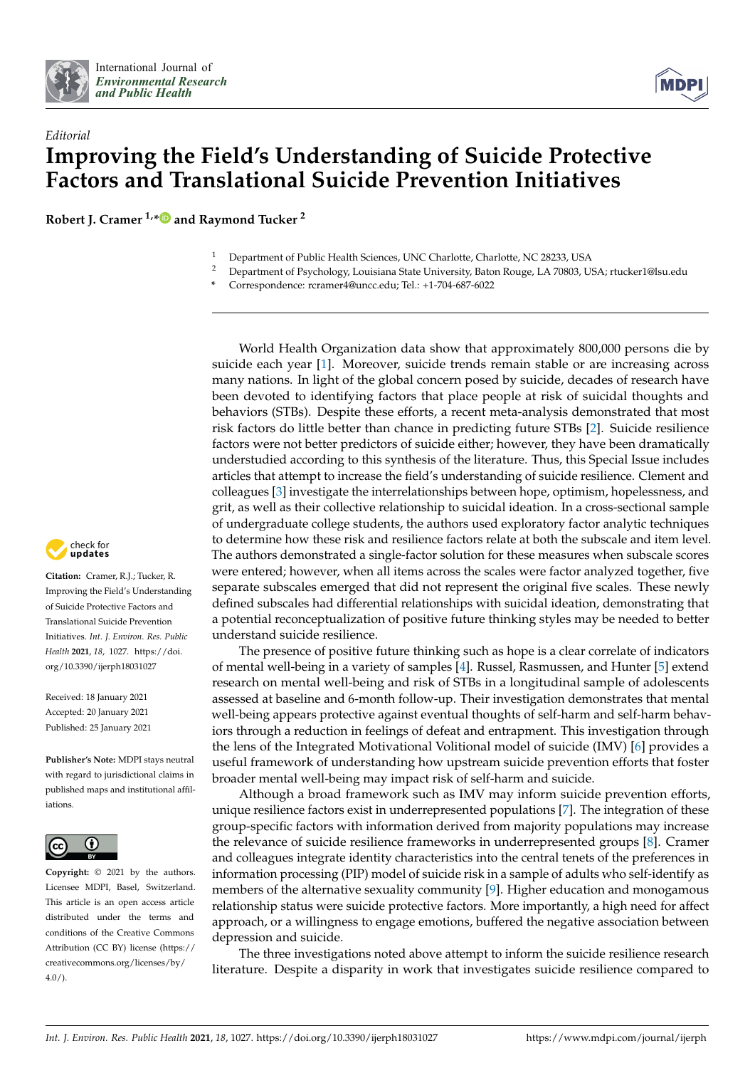



## *Editorial* **Improving the Field's Understanding of Suicide Protective Factors and Translational Suicide Prevention Initiatives**

**Robert J. Cramer 1,[\\*](https://orcid.org/0000-0001-9105-5565) and Raymond Tucker <sup>2</sup>**

- <sup>1</sup> Department of Public Health Sciences, UNC Charlotte, Charlotte, NC 28233, USA<br><sup>2</sup> Department of Psychology Louisiana State University Baton Rouge J. A. 70803, U
- <sup>2</sup> Department of Psychology, Louisiana State University, Baton Rouge, LA 70803, USA; rtucker1@lsu.edu
- **\*** Correspondence: rcramer4@uncc.edu; Tel.: +1-704-687-6022

World Health Organization data show that approximately 800,000 persons die by suicide each year [\[1\]](#page-1-0). Moreover, suicide trends remain stable or are increasing across many nations. In light of the global concern posed by suicide, decades of research have been devoted to identifying factors that place people at risk of suicidal thoughts and behaviors (STBs). Despite these efforts, a recent meta-analysis demonstrated that most risk factors do little better than chance in predicting future STBs [\[2\]](#page-1-1). Suicide resilience factors were not better predictors of suicide either; however, they have been dramatically understudied according to this synthesis of the literature. Thus, this Special Issue includes articles that attempt to increase the field's understanding of suicide resilience. Clement and colleagues [\[3\]](#page-1-2) investigate the interrelationships between hope, optimism, hopelessness, and grit, as well as their collective relationship to suicidal ideation. In a cross-sectional sample of undergraduate college students, the authors used exploratory factor analytic techniques to determine how these risk and resilience factors relate at both the subscale and item level. The authors demonstrated a single-factor solution for these measures when subscale scores were entered; however, when all items across the scales were factor analyzed together, five separate subscales emerged that did not represent the original five scales. These newly defined subscales had differential relationships with suicidal ideation, demonstrating that a potential reconceptualization of positive future thinking styles may be needed to better understand suicide resilience.

The presence of positive future thinking such as hope is a clear correlate of indicators of mental well-being in a variety of samples [\[4\]](#page-1-3). Russel, Rasmussen, and Hunter [\[5\]](#page-1-4) extend research on mental well-being and risk of STBs in a longitudinal sample of adolescents assessed at baseline and 6-month follow-up. Their investigation demonstrates that mental well-being appears protective against eventual thoughts of self-harm and self-harm behaviors through a reduction in feelings of defeat and entrapment. This investigation through the lens of the Integrated Motivational Volitional model of suicide (IMV) [\[6\]](#page-1-5) provides a useful framework of understanding how upstream suicide prevention efforts that foster broader mental well-being may impact risk of self-harm and suicide.

Although a broad framework such as IMV may inform suicide prevention efforts, unique resilience factors exist in underrepresented populations [\[7\]](#page-2-0). The integration of these group-specific factors with information derived from majority populations may increase the relevance of suicide resilience frameworks in underrepresented groups [\[8\]](#page-2-1). Cramer and colleagues integrate identity characteristics into the central tenets of the preferences in information processing (PIP) model of suicide risk in a sample of adults who self-identify as members of the alternative sexuality community [\[9\]](#page-2-2). Higher education and monogamous relationship status were suicide protective factors. More importantly, a high need for affect approach, or a willingness to engage emotions, buffered the negative association between depression and suicide.

The three investigations noted above attempt to inform the suicide resilience research literature. Despite a disparity in work that investigates suicide resilience compared to



**Citation:** Cramer, R.J.; Tucker, R. Improving the Field's Understanding of Suicide Protective Factors and Translational Suicide Prevention Initiatives. *Int. J. Environ. Res. Public Health* **2021**, *18*, 1027. [https://doi.](https://doi.org/10.3390/ijerph18031027) [org/10.3390/ijerph18031027](https://doi.org/10.3390/ijerph18031027)

Received: 18 January 2021 Accepted: 20 January 2021 Published: 25 January 2021

**Publisher's Note:** MDPI stays neutral with regard to jurisdictional claims in published maps and institutional affiliations.



**Copyright:** © 2021 by the authors. Licensee MDPI, Basel, Switzerland. This article is an open access article distributed under the terms and conditions of the Creative Commons Attribution (CC BY) license (https:/[/](https://creativecommons.org/licenses/by/4.0/) [creativecommons.org/licenses/by/](https://creativecommons.org/licenses/by/4.0/) 4.0/).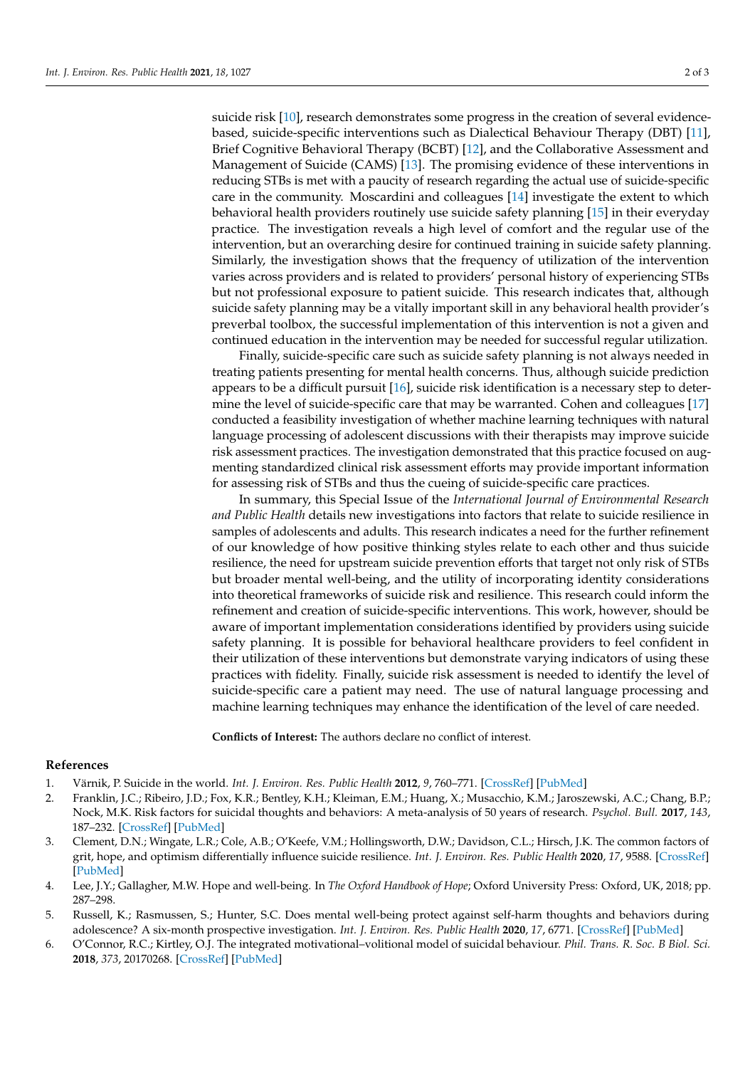suicide risk [\[10\]](#page-2-3), research demonstrates some progress in the creation of several evidencebased, suicide-specific interventions such as Dialectical Behaviour Therapy (DBT) [\[11\]](#page-2-4), Brief Cognitive Behavioral Therapy (BCBT) [\[12\]](#page-2-5), and the Collaborative Assessment and Management of Suicide (CAMS) [\[13\]](#page-2-6). The promising evidence of these interventions in reducing STBs is met with a paucity of research regarding the actual use of suicide-specific care in the community. Moscardini and colleagues [\[14\]](#page-2-7) investigate the extent to which behavioral health providers routinely use suicide safety planning [\[15\]](#page-2-8) in their everyday practice. The investigation reveals a high level of comfort and the regular use of the intervention, but an overarching desire for continued training in suicide safety planning. Similarly, the investigation shows that the frequency of utilization of the intervention varies across providers and is related to providers' personal history of experiencing STBs but not professional exposure to patient suicide. This research indicates that, although suicide safety planning may be a vitally important skill in any behavioral health provider's preverbal toolbox, the successful implementation of this intervention is not a given and continued education in the intervention may be needed for successful regular utilization.

Finally, suicide-specific care such as suicide safety planning is not always needed in treating patients presenting for mental health concerns. Thus, although suicide prediction appears to be a difficult pursuit [\[16\]](#page-2-9), suicide risk identification is a necessary step to determine the level of suicide-specific care that may be warranted. Cohen and colleagues [\[17\]](#page-2-10) conducted a feasibility investigation of whether machine learning techniques with natural language processing of adolescent discussions with their therapists may improve suicide risk assessment practices. The investigation demonstrated that this practice focused on augmenting standardized clinical risk assessment efforts may provide important information for assessing risk of STBs and thus the cueing of suicide-specific care practices.

In summary, this Special Issue of the *International Journal of Environmental Research and Public Health* details new investigations into factors that relate to suicide resilience in samples of adolescents and adults. This research indicates a need for the further refinement of our knowledge of how positive thinking styles relate to each other and thus suicide resilience, the need for upstream suicide prevention efforts that target not only risk of STBs but broader mental well-being, and the utility of incorporating identity considerations into theoretical frameworks of suicide risk and resilience. This research could inform the refinement and creation of suicide-specific interventions. This work, however, should be aware of important implementation considerations identified by providers using suicide safety planning. It is possible for behavioral healthcare providers to feel confident in their utilization of these interventions but demonstrate varying indicators of using these practices with fidelity. Finally, suicide risk assessment is needed to identify the level of suicide-specific care a patient may need. The use of natural language processing and machine learning techniques may enhance the identification of the level of care needed.

**Conflicts of Interest:** The authors declare no conflict of interest.

## **References**

- <span id="page-1-0"></span>1. Värnik, P. Suicide in the world. *Int. J. Environ. Res. Public Health* **2012**, *9*, 760–771. [\[CrossRef\]](http://doi.org/10.3390/ijerph9030760) [\[PubMed\]](http://www.ncbi.nlm.nih.gov/pubmed/22690161)
- <span id="page-1-1"></span>2. Franklin, J.C.; Ribeiro, J.D.; Fox, K.R.; Bentley, K.H.; Kleiman, E.M.; Huang, X.; Musacchio, K.M.; Jaroszewski, A.C.; Chang, B.P.; Nock, M.K. Risk factors for suicidal thoughts and behaviors: A meta-analysis of 50 years of research. *Psychol. Bull.* **2017**, *143*, 187–232. [\[CrossRef\]](http://doi.org/10.1037/bul0000084) [\[PubMed\]](http://www.ncbi.nlm.nih.gov/pubmed/27841450)
- <span id="page-1-2"></span>3. Clement, D.N.; Wingate, L.R.; Cole, A.B.; O'Keefe, V.M.; Hollingsworth, D.W.; Davidson, C.L.; Hirsch, J.K. The common factors of grit, hope, and optimism differentially influence suicide resilience. *Int. J. Environ. Res. Public Health* **2020**, *17*, 9588. [\[CrossRef\]](http://doi.org/10.3390/ijerph17249588) [\[PubMed\]](http://www.ncbi.nlm.nih.gov/pubmed/33371423)
- <span id="page-1-3"></span>4. Lee, J.Y.; Gallagher, M.W. Hope and well-being. In *The Oxford Handbook of Hope*; Oxford University Press: Oxford, UK, 2018; pp. 287–298.
- <span id="page-1-4"></span>5. Russell, K.; Rasmussen, S.; Hunter, S.C. Does mental well-being protect against self-harm thoughts and behaviors during adolescence? A six-month prospective investigation. *Int. J. Environ. Res. Public Health* **2020**, *17*, 6771. [\[CrossRef\]](http://doi.org/10.3390/ijerph17186771) [\[PubMed\]](http://www.ncbi.nlm.nih.gov/pubmed/32957474)
- <span id="page-1-5"></span>6. O'Connor, R.C.; Kirtley, O.J. The integrated motivational–volitional model of suicidal behaviour. *Phil. Trans. R. Soc. B Biol. Sci.* **2018**, *373*, 20170268. [\[CrossRef\]](http://doi.org/10.1098/rstb.2017.0268) [\[PubMed\]](http://www.ncbi.nlm.nih.gov/pubmed/30012735)